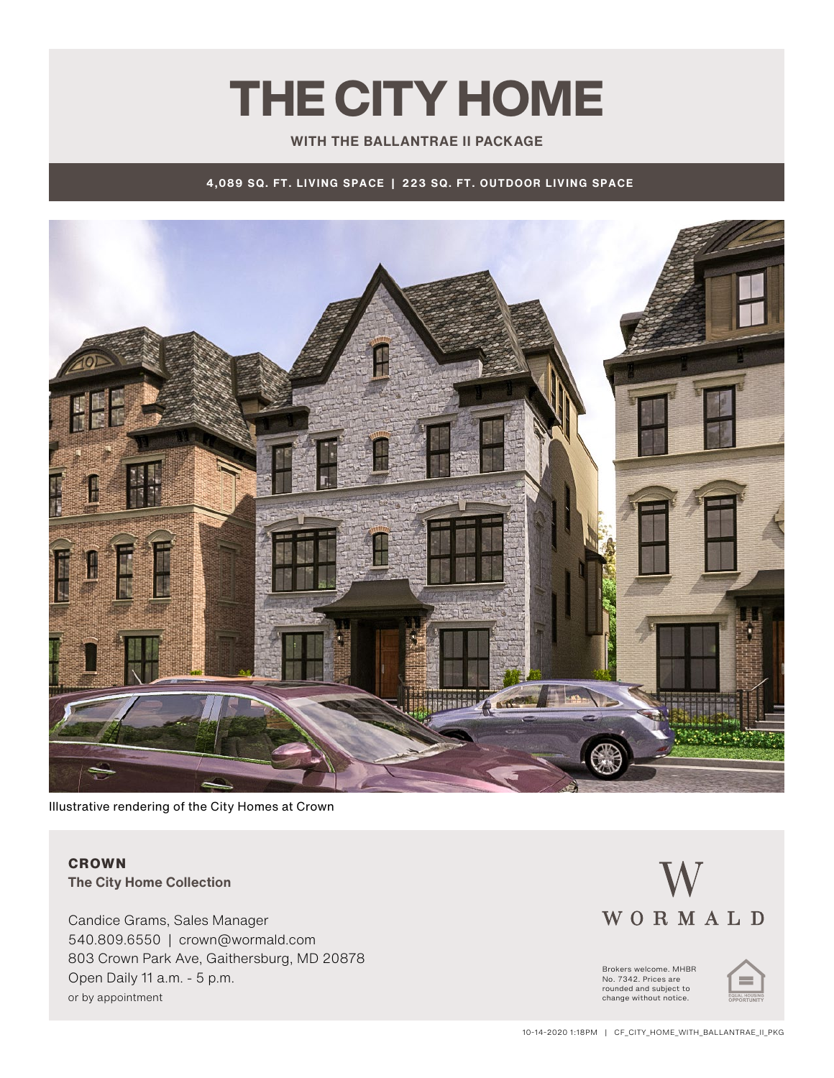## THE CITY HOME

#### **WITH THE BALLANTRAE II PACKAGE**

**4,089 SQ. FT. LIVING SPACE | 223 SQ. FT. OUTDOOR LIVING SPACE**



Illustrative rendering of the City Homes at Crown

### **CROWN The City Home Collection**

Candice Grams, Sales Manager 540.809.6550 | crown@wormald.com 803 Crown Park Ave, Gaithersburg, MD 20878 Open Daily 11 a.m. - 5 p.m. or by appointment

# WORMALD

Brokers welcome. MHBR No. 7342. Prices are<br>rounded and subject to change without notice.

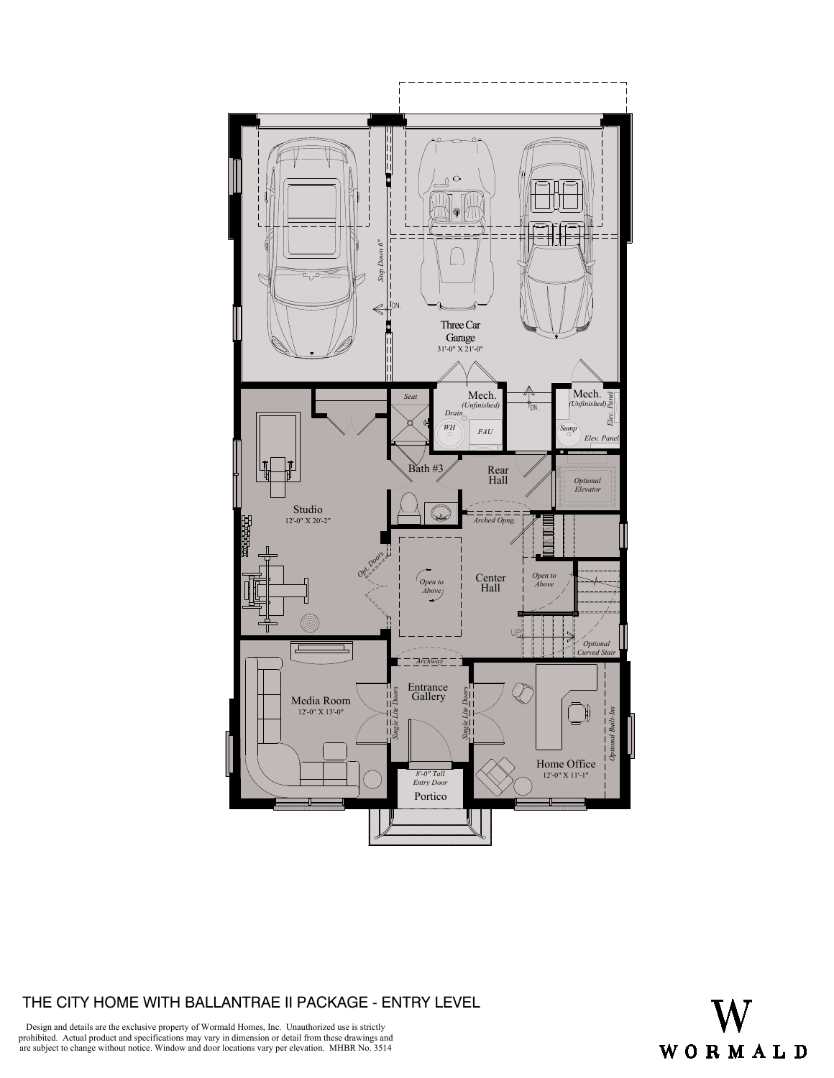

### THE CITY HOME WITH BALLANTRAE II PACKAGE - ENTRY LEVEL



Design and details are the exclusive property of Wormald Homes, Inc. Unauthorized use is strictly prohibited. Actual product and specifications may vary in dimension or detail from these drawings and are subject to change without notice. Window and door locations vary per elevation. MHBR No. 3514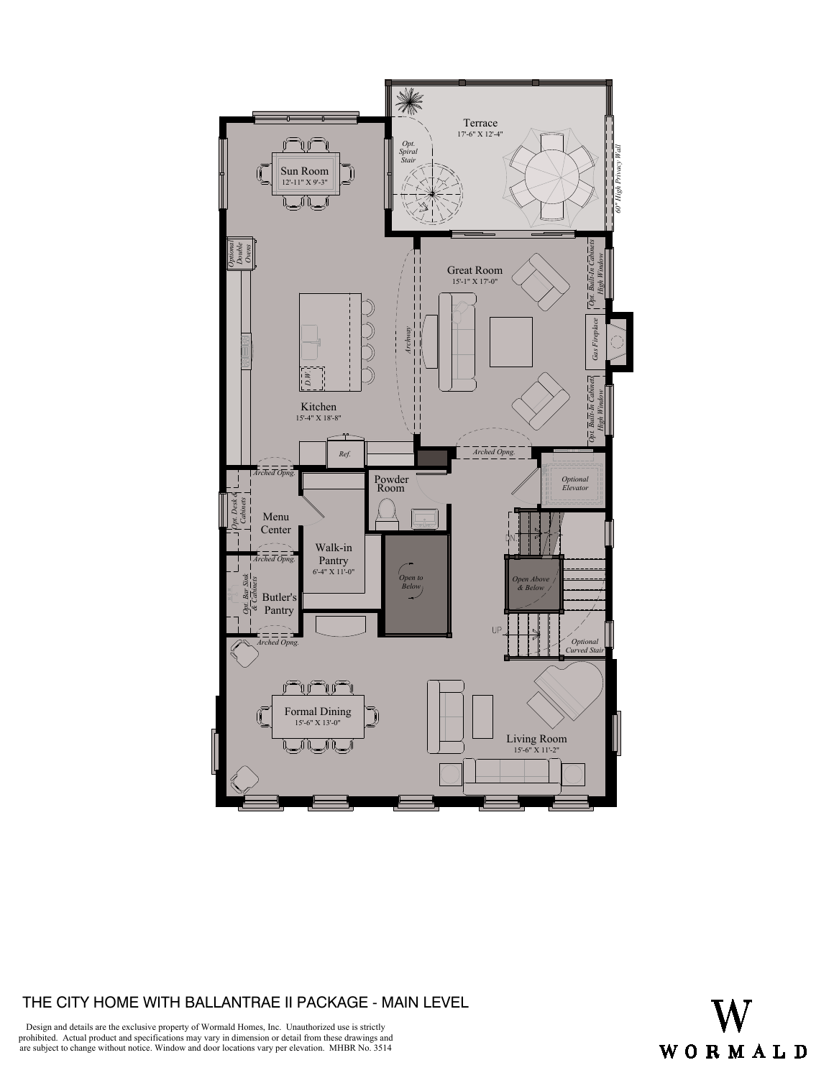

### THE CITY HOME WITH BALLANTRAE II PACKAGE - MAIN LEVEL



Design and details are the exclusive property of Wormald Homes, Inc. Unauthorized use is strictly prohibited. Actual product and specifications may vary in dimension or detail from these drawings and are subject to change without notice. Window and door locations vary per elevation. MHBR No. 3514